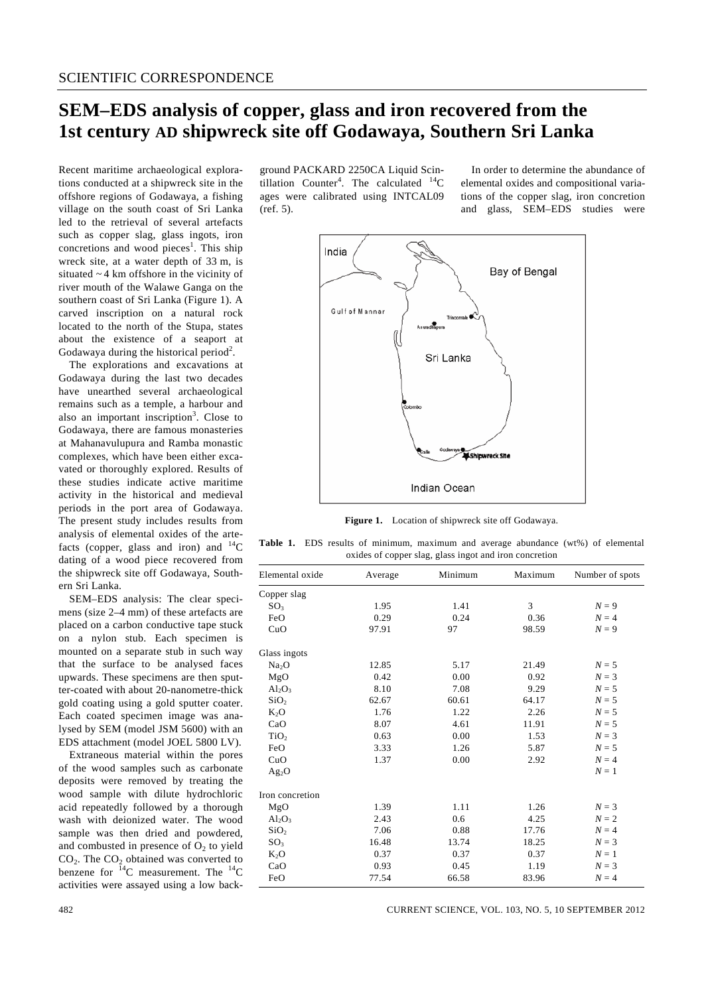## **SEM–EDS analysis of copper, glass and iron recovered from the 1st century AD shipwreck site off Godawaya, Southern Sri Lanka**

Recent maritime archaeological explorations conducted at a shipwreck site in the offshore regions of Godawaya, a fishing village on the south coast of Sri Lanka led to the retrieval of several artefacts such as copper slag, glass ingots, iron concretions and wood pieces<sup>1</sup>. This ship wreck site, at a water depth of 33 m, is situated ~ 4 km offshore in the vicinity of river mouth of the Walawe Ganga on the southern coast of Sri Lanka (Figure 1). A carved inscription on a natural rock located to the north of the Stupa, states about the existence of a seaport at Godawaya during the historical period<sup>2</sup>.

 The explorations and excavations at Godawaya during the last two decades have unearthed several archaeological remains such as a temple, a harbour and also an important inscription<sup>3</sup>. Close to Godawaya, there are famous monasteries at Mahanavulupura and Ramba monastic complexes, which have been either excavated or thoroughly explored. Results of these studies indicate active maritime activity in the historical and medieval periods in the port area of Godawaya. The present study includes results from analysis of elemental oxides of the artefacts (copper, glass and iron) and  $^{14}C$ dating of a wood piece recovered from the shipwreck site off Godawaya, Southern Sri Lanka.

 SEM–EDS analysis: The clear specimens (size 2–4 mm) of these artefacts are placed on a carbon conductive tape stuck on a nylon stub. Each specimen is mounted on a separate stub in such way that the surface to be analysed faces upwards. These specimens are then sputter-coated with about 20-nanometre-thick gold coating using a gold sputter coater. Each coated specimen image was analysed by SEM (model JSM 5600) with an EDS attachment (model JOEL 5800 LV).

 Extraneous material within the pores of the wood samples such as carbonate deposits were removed by treating the wood sample with dilute hydrochloric acid repeatedly followed by a thorough wash with deionized water. The wood sample was then dried and powdered, and combusted in presence of  $O_2$  to yield  $CO<sub>2</sub>$ . The  $CO<sub>2</sub>$  obtained was converted to benzene for  $^{14}$ C measurement. The  $^{14}$ C activities were assayed using a low back-

ground PACKARD 2250CA Liquid Scintillation Counter<sup>4</sup>. The calculated  $^{14}C$ ages were calibrated using INTCAL09 (ref. 5).

 In order to determine the abundance of elemental oxides and compositional variations of the copper slag, iron concretion and glass, SEM–EDS studies were



**Figure 1.** Location of shipwreck site off Godawaya.

**Table 1.** EDS results of minimum, maximum and average abundance (wt%) of elemental oxides of copper slag, glass ingot and iron concretion

| Elemental oxide   | Average | Minimum | Maximum | Number of spots |
|-------------------|---------|---------|---------|-----------------|
| Copper slag       |         |         |         |                 |
| SO <sub>3</sub>   | 1.95    | 1.41    | 3       | $N=9$           |
| FeO               | 0.29    | 0.24    | 0.36    | $N=4$           |
| CuO               | 97.91   | 97      | 98.59   | $N=9$           |
| Glass ingots      |         |         |         |                 |
| Na <sub>2</sub> O | 12.85   | 5.17    | 21.49   | $N=5$           |
| MgO               | 0.42    | 0.00    | 0.92    | $N = 3$         |
| $Al_2O_3$         | 8.10    | 7.08    | 9.29    | $N=5$           |
| SiO <sub>2</sub>  | 62.67   | 60.61   | 64.17   | $N=5$           |
| $K_2O$            | 1.76    | 1.22    | 2.26    | $N=5$           |
| CaO               | 8.07    | 4.61    | 11.91   | $N=5$           |
| TiO <sub>2</sub>  | 0.63    | 0.00    | 1.53    | $N=3$           |
| FeO               | 3.33    | 1.26    | 5.87    | $N=5$           |
| CuO               | 1.37    | 0.00    | 2.92    | $N = 4$         |
| $Ag_2O$           |         |         |         | $N=1$           |
| Iron concretion   |         |         |         |                 |
| MgO               | 1.39    | 1.11    | 1.26    | $N = 3$         |
| $Al_2O_3$         | 2.43    | 0.6     | 4.25    | $N=2$           |
| SiO <sub>2</sub>  | 7.06    | 0.88    | 17.76   | $N=4$           |
| SO <sub>3</sub>   | 16.48   | 13.74   | 18.25   | $N=3$           |
| $K_2O$            | 0.37    | 0.37    | 0.37    | $N=1$           |
| CaO               | 0.93    | 0.45    | 1.19    | $N=3$           |
| FeO               | 77.54   | 66.58   | 83.96   | $N = 4$         |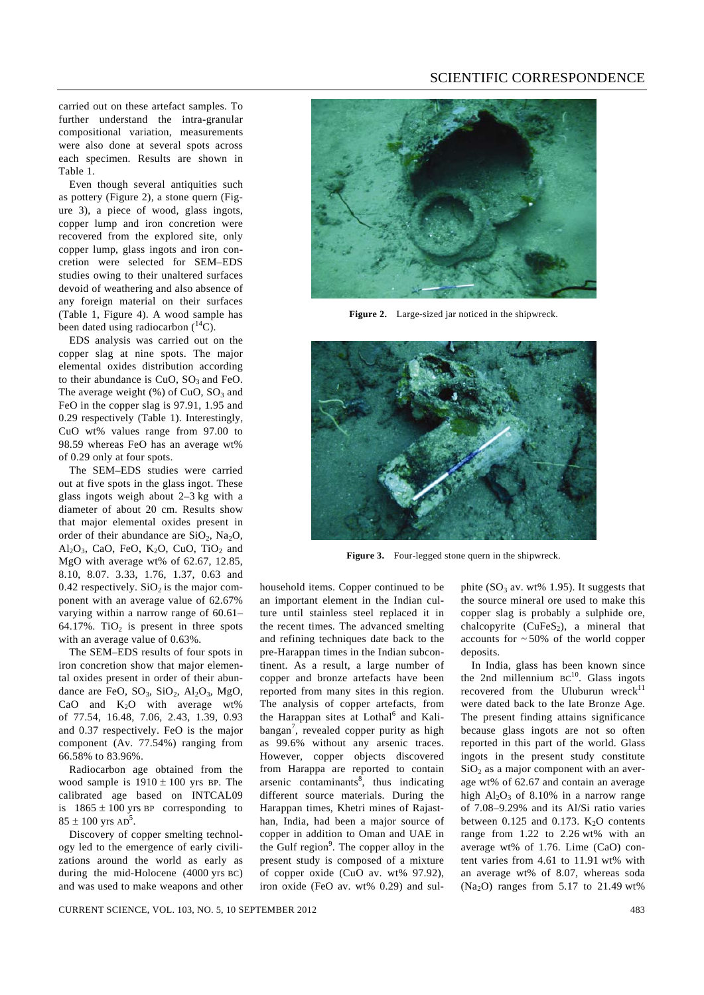## SCIENTIFIC CORRESPONDENCE

carried out on these artefact samples. To further understand the intra-granular compositional variation, measurements were also done at several spots across each specimen. Results are shown in Table 1.

 Even though several antiquities such as pottery (Figure 2), a stone quern (Figure 3), a piece of wood, glass ingots, copper lump and iron concretion were recovered from the explored site, only copper lump, glass ingots and iron concretion were selected for SEM–EDS studies owing to their unaltered surfaces devoid of weathering and also absence of any foreign material on their surfaces (Table 1, Figure 4). A wood sample has been dated using radiocarbon  $(^{14}C)$ .

 EDS analysis was carried out on the copper slag at nine spots. The major elemental oxides distribution according to their abundance is  $CuO$ ,  $SO<sub>3</sub>$  and FeO. The average weight  $(\%)$  of CuO, SO<sub>3</sub> and FeO in the copper slag is 97.91, 1.95 and 0.29 respectively (Table 1). Interestingly, CuO wt% values range from 97.00 to 98.59 whereas FeO has an average wt% of 0.29 only at four spots.

 The SEM–EDS studies were carried out at five spots in the glass ingot. These glass ingots weigh about 2–3 kg with a diameter of about 20 cm. Results show that major elemental oxides present in order of their abundance are  $SiO_2$ , Na<sub>2</sub>O, Al<sub>2</sub>O<sub>3</sub>, CaO, FeO, K<sub>2</sub>O, CuO, TiO<sub>2</sub> and MgO with average wt% of 62.67, 12.85, 8.10, 8.07. 3.33, 1.76, 1.37, 0.63 and 0.42 respectively.  $SiO<sub>2</sub>$  is the major component with an average value of 62.67% varying within a narrow range of 60.61– 64.17%. TiO<sub>2</sub> is present in three spots with an average value of 0.63%.

 The SEM–EDS results of four spots in iron concretion show that major elemental oxides present in order of their abundance are FeO,  $SO_3$ ,  $SiO_2$ ,  $Al_2O_3$ ,  $MgO$ , CaO and  $K_2O$  with average wt% of 77.54, 16.48, 7.06, 2.43, 1.39, 0.93 and 0.37 respectively. FeO is the major component (Av. 77.54%) ranging from 66.58% to 83.96%.

 Radiocarbon age obtained from the wood sample is  $1910 \pm 100$  yrs BP. The calibrated age based on INTCAL09 is  $1865 \pm 100$  yrs BP corresponding to  $85 \pm 100$  yrs  $AD^5$ .

 Discovery of copper smelting technology led to the emergence of early civilizations around the world as early as during the mid-Holocene (4000 yrs BC) and was used to make weapons and other



**Figure 2.** Large-sized jar noticed in the shipwreck.



**Figure 3.** Four-legged stone quern in the shipwreck.

household items. Copper continued to be an important element in the Indian culture until stainless steel replaced it in the recent times. The advanced smelting and refining techniques date back to the pre-Harappan times in the Indian subcontinent. As a result, a large number of copper and bronze artefacts have been reported from many sites in this region. The analysis of copper artefacts, from the Harappan sites at Lothal<sup>6</sup> and Kalibangan<sup>7</sup>, revealed copper purity as high as 99.6% without any arsenic traces. However, copper objects discovered from Harappa are reported to contain arsenic contaminants $\overline{s}$ , thus indicating different source materials. During the Harappan times, Khetri mines of Rajasthan, India, had been a major source of copper in addition to Oman and UAE in the Gulf region<sup>9</sup>. The copper alloy in the present study is composed of a mixture of copper oxide (CuO av. wt% 97.92), iron oxide (FeO av. wt% 0.29) and sulphite  $(SO_3$  av. wt% 1.95). It suggests that the source mineral ore used to make this copper slag is probably a sulphide ore, chalcopyrite  $(CuFeS<sub>2</sub>)$ , a mineral that accounts for  $\sim$  50% of the world copper deposits.

 In India, glass has been known since the 2nd millennium  $BC^{10}$ . Glass ingots recovered from the Uluburun wreck $^{11}$ were dated back to the late Bronze Age. The present finding attains significance because glass ingots are not so often reported in this part of the world. Glass ingots in the present study constitute  $SiO<sub>2</sub>$  as a major component with an average wt% of 62.67 and contain an average high  $Al_2O_3$  of 8.10% in a narrow range of 7.08–9.29% and its Al/Si ratio varies between 0.125 and 0.173.  $K_2O$  contents range from  $1.22$  to  $2.26 \text{ wt\%}$  with an average wt% of 1.76. Lime (CaO) content varies from 4.61 to 11.91 wt% with an average wt% of 8.07, whereas soda (Na<sub>2</sub>O) ranges from 5.17 to 21.49 wt%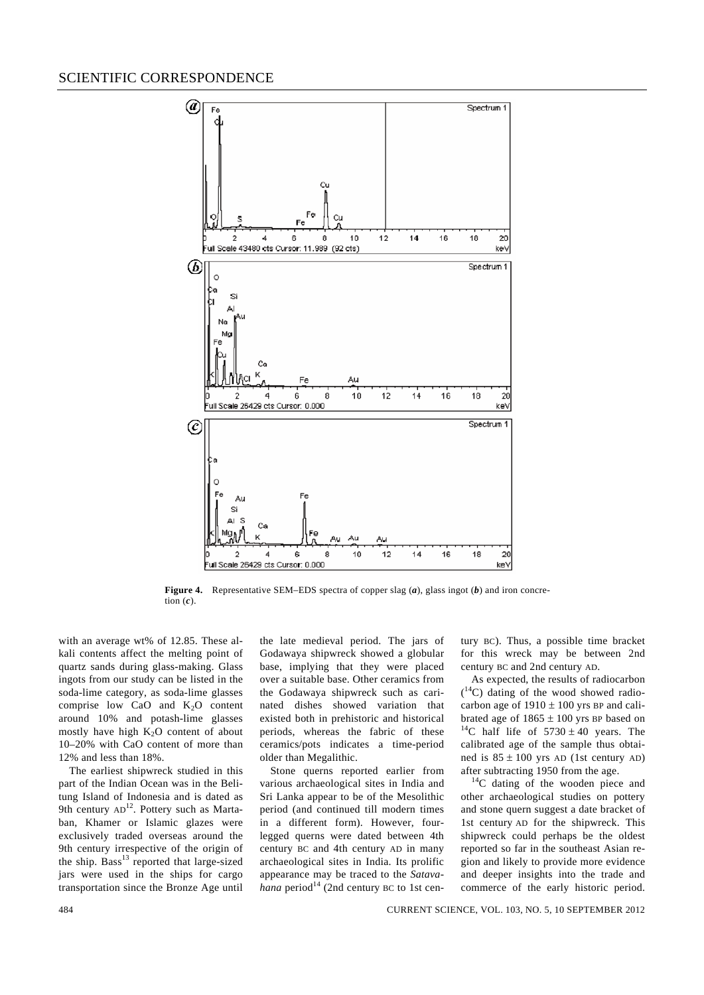

**Figure 4.** Representative SEM–EDS spectra of copper slag (*a*), glass ingot (*b*) and iron concretion  $(c)$ .

with an average wt% of 12.85. These alkali contents affect the melting point of quartz sands during glass-making. Glass ingots from our study can be listed in the soda-lime category, as soda-lime glasses comprise low CaO and  $K_2O$  content around 10% and potash-lime glasses mostly have high  $K_2O$  content of about 10–20% with CaO content of more than 12% and less than 18%.

 The earliest shipwreck studied in this part of the Indian Ocean was in the Belitung Island of Indonesia and is dated as 9th century AD<sup>12</sup>. Pottery such as Martaban, Khamer or Islamic glazes were exclusively traded overseas around the 9th century irrespective of the origin of the ship. Bass<sup>13</sup> reported that large-sized jars were used in the ships for cargo transportation since the Bronze Age until the late medieval period. The jars of Godawaya shipwreck showed a globular base, implying that they were placed over a suitable base. Other ceramics from the Godawaya shipwreck such as carinated dishes showed variation that existed both in prehistoric and historical periods, whereas the fabric of these ceramics/pots indicates a time-period older than Megalithic.

 Stone querns reported earlier from various archaeological sites in India and Sri Lanka appear to be of the Mesolithic period (and continued till modern times in a different form). However, fourlegged querns were dated between 4th century BC and 4th century AD in many archaeological sites in India. Its prolific appearance may be traced to the *Satava* $h$ *ana* period<sup>14</sup> (2nd century BC to 1st century BC). Thus, a possible time bracket for this wreck may be between 2nd century BC and 2nd century AD.

 As expected, the results of radiocarbon ( 14C) dating of the wood showed radiocarbon age of  $1910 \pm 100$  yrs BP and calibrated age of  $1865 \pm 100$  yrs BP based on  $^{14}$ C half life of  $5730 \pm 40$  years. The calibrated age of the sample thus obtained is  $85 \pm 100$  yrs AD (1st century AD)<br>after subtracting 1950 from the age.

 $14^{\circ}$ C dating of the wooden piece and other archaeological studies on pottery and stone quern suggest a date bracket of 1st century AD for the shipwreck. This shipwreck could perhaps be the oldest reported so far in the southeast Asian region and likely to provide more evidence and deeper insights into the trade and commerce of the early historic period.